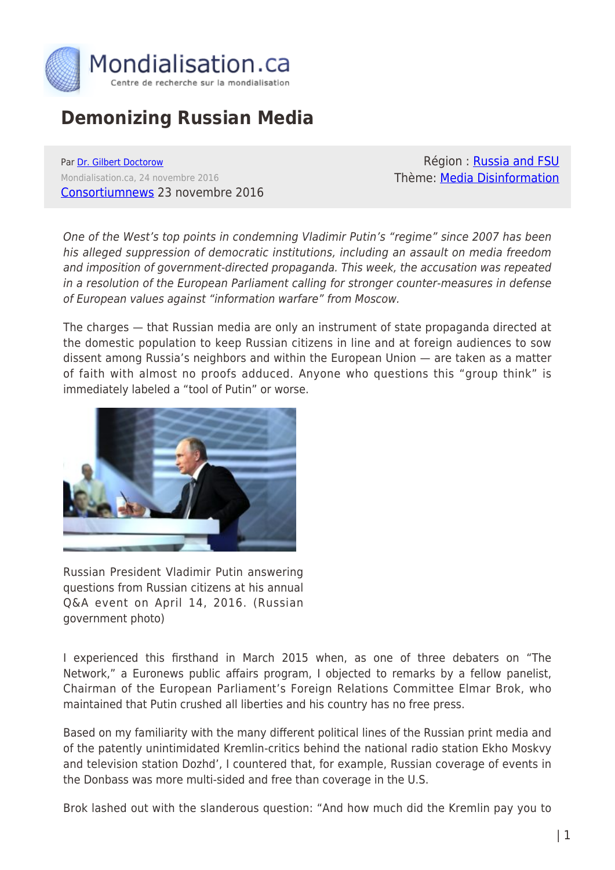

# **Demonizing Russian Media**

Par [Dr. Gilbert Doctorow](https://www.mondialisation.ca/author/gilbert-doctorow) Mondialisation.ca, 24 novembre 2016 [Consortiumnews](https://consortiumnews.com/2016/11/23/demonizing-russian-media/) 23 novembre 2016

Région : [Russia and FSU](https://www.mondialisation.ca/region/russia-and-fsu) Thème: [Media Disinformation](https://www.mondialisation.ca/theme/media-disinformation)

One of the West's top points in condemning Vladimir Putin's "regime" since 2007 has been his alleged suppression of democratic institutions, including an assault on media freedom and imposition of government-directed propaganda. This week, the accusation was repeated in a resolution of the European Parliament calling for stronger counter-measures in defense of European values against "information warfare" from Moscow.

The charges — that Russian media are only an instrument of state propaganda directed at the domestic population to keep Russian citizens in line and at foreign audiences to sow dissent among Russia's neighbors and within the European Union — are taken as a matter of faith with almost no proofs adduced. Anyone who questions this "group think" is immediately labeled a "tool of Putin" or worse.



Russian President Vladimir Putin answering questions from Russian citizens at his annual Q&A event on April 14, 2016. (Russian government photo)

I experienced this firsthand in March 2015 when, as one of three debaters on "The Network," a Euronews public affairs program, I objected to remarks by a fellow panelist, Chairman of the European Parliament's Foreign Relations Committee Elmar Brok, who maintained that Putin crushed all liberties and his country has no free press.

Based on my familiarity with the many different political lines of the Russian print media and of the patently unintimidated Kremlin-critics behind the national radio station Ekho Moskvy and television station Dozhd', I countered that, for example, Russian coverage of events in the Donbass was more multi-sided and free than coverage in the U.S.

Brok lashed out with the slanderous question: "And how much did the Kremlin pay you to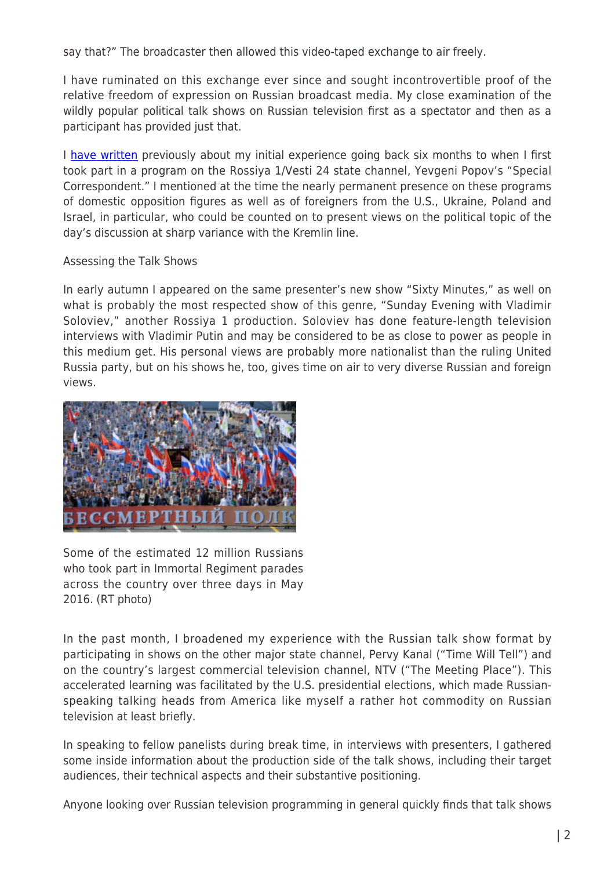say that?" The broadcaster then allowed this video-taped exchange to air freely.

I have ruminated on this exchange ever since and sought incontrovertible proof of the relative freedom of expression on Russian broadcast media. My close examination of the wildly popular political talk shows on Russian television first as a spectator and then as a participant has provided just that.

I [have written](https://consortiumnews.com/2016/05/15/russias-diversity-of-opinion) previously about my initial experience going back six months to when I first took part in a program on the Rossiya 1/Vesti 24 state channel, Yevgeni Popov's "Special Correspondent." I mentioned at the time the nearly permanent presence on these programs of domestic opposition figures as well as of foreigners from the U.S., Ukraine, Poland and Israel, in particular, who could be counted on to present views on the political topic of the day's discussion at sharp variance with the Kremlin line.

### Assessing the Talk Shows

In early autumn I appeared on the same presenter's new show "Sixty Minutes," as well on what is probably the most respected show of this genre, "Sunday Evening with Vladimir Soloviev," another Rossiya 1 production. Soloviev has done feature-length television interviews with Vladimir Putin and may be considered to be as close to power as people in this medium get. His personal views are probably more nationalist than the ruling United Russia party, but on his shows he, too, gives time on air to very diverse Russian and foreign views.



Some of the estimated 12 million Russians who took part in Immortal Regiment parades across the country over three days in May 2016. (RT photo)

In the past month, I broadened my experience with the Russian talk show format by participating in shows on the other major state channel, Pervy Kanal ("Time Will Tell") and on the country's largest commercial television channel, NTV ("The Meeting Place"). This accelerated learning was facilitated by the U.S. presidential elections, which made Russianspeaking talking heads from America like myself a rather hot commodity on Russian television at least briefly.

In speaking to fellow panelists during break time, in interviews with presenters, I gathered some inside information about the production side of the talk shows, including their target audiences, their technical aspects and their substantive positioning.

Anyone looking over Russian television programming in general quickly finds that talk shows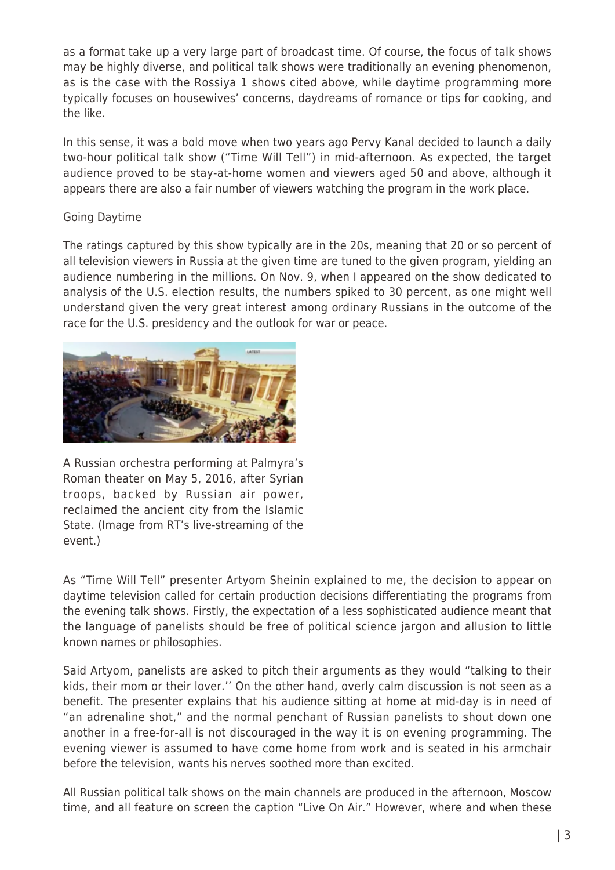as a format take up a very large part of broadcast time. Of course, the focus of talk shows may be highly diverse, and political talk shows were traditionally an evening phenomenon, as is the case with the Rossiya 1 shows cited above, while daytime programming more typically focuses on housewives' concerns, daydreams of romance or tips for cooking, and the like.

In this sense, it was a bold move when two years ago Pervy Kanal decided to launch a daily two-hour political talk show ("Time Will Tell") in mid-afternoon. As expected, the target audience proved to be stay-at-home women and viewers aged 50 and above, although it appears there are also a fair number of viewers watching the program in the work place.

## Going Daytime

The ratings captured by this show typically are in the 20s, meaning that 20 or so percent of all television viewers in Russia at the given time are tuned to the given program, yielding an audience numbering in the millions. On Nov. 9, when I appeared on the show dedicated to analysis of the U.S. election results, the numbers spiked to 30 percent, as one might well understand given the very great interest among ordinary Russians in the outcome of the race for the U.S. presidency and the outlook for war or peace.



A Russian orchestra performing at Palmyra's Roman theater on May 5, 2016, after Syrian troops, backed by Russian air power, reclaimed the ancient city from the Islamic State. (Image from RT's live-streaming of the event.)

As "Time Will Tell" presenter Artyom Sheinin explained to me, the decision to appear on daytime television called for certain production decisions differentiating the programs from the evening talk shows. Firstly, the expectation of a less sophisticated audience meant that the language of panelists should be free of political science jargon and allusion to little known names or philosophies.

Said Artyom, panelists are asked to pitch their arguments as they would "talking to their kids, their mom or their lover.'' On the other hand, overly calm discussion is not seen as a benefit. The presenter explains that his audience sitting at home at mid-day is in need of "an adrenaline shot," and the normal penchant of Russian panelists to shout down one another in a free-for-all is not discouraged in the way it is on evening programming. The evening viewer is assumed to have come home from work and is seated in his armchair before the television, wants his nerves soothed more than excited.

All Russian political talk shows on the main channels are produced in the afternoon, Moscow time, and all feature on screen the caption "Live On Air." However, where and when these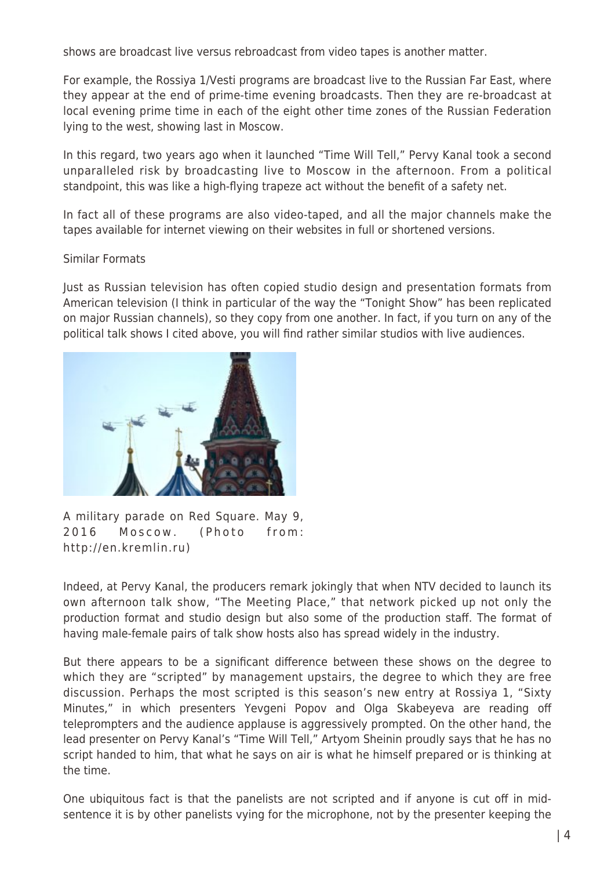shows are broadcast live versus rebroadcast from video tapes is another matter.

For example, the Rossiya 1/Vesti programs are broadcast live to the Russian Far East, where they appear at the end of prime-time evening broadcasts. Then they are re-broadcast at local evening prime time in each of the eight other time zones of the Russian Federation lying to the west, showing last in Moscow.

In this regard, two years ago when it launched "Time Will Tell," Pervy Kanal took a second unparalleled risk by broadcasting live to Moscow in the afternoon. From a political standpoint, this was like a high-flying trapeze act without the benefit of a safety net.

In fact all of these programs are also video-taped, and all the major channels make the tapes available for internet viewing on their websites in full or shortened versions.

### Similar Formats

Just as Russian television has often copied studio design and presentation formats from American television (I think in particular of the way the "Tonight Show" has been replicated on major Russian channels), so they copy from one another. In fact, if you turn on any of the political talk shows I cited above, you will find rather similar studios with live audiences.



A military parade on Red Square. May 9, 2016 Moscow. (Photo from: http://en.kremlin.ru)

Indeed, at Pervy Kanal, the producers remark jokingly that when NTV decided to launch its own afternoon talk show, "The Meeting Place," that network picked up not only the production format and studio design but also some of the production staff. The format of having male-female pairs of talk show hosts also has spread widely in the industry.

But there appears to be a significant difference between these shows on the degree to which they are "scripted" by management upstairs, the degree to which they are free discussion. Perhaps the most scripted is this season's new entry at Rossiya 1, "Sixty Minutes," in which presenters Yevgeni Popov and Olga Skabeyeva are reading off teleprompters and the audience applause is aggressively prompted. On the other hand, the lead presenter on Pervy Kanal's "Time Will Tell," Artyom Sheinin proudly says that he has no script handed to him, that what he says on air is what he himself prepared or is thinking at the time.

One ubiquitous fact is that the panelists are not scripted and if anyone is cut off in midsentence it is by other panelists vying for the microphone, not by the presenter keeping the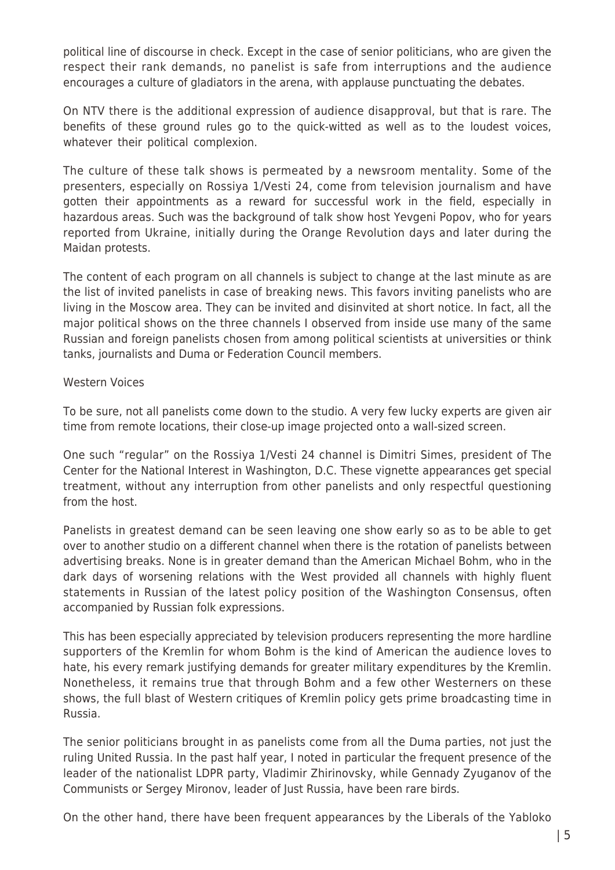political line of discourse in check. Except in the case of senior politicians, who are given the respect their rank demands, no panelist is safe from interruptions and the audience encourages a culture of gladiators in the arena, with applause punctuating the debates.

On NTV there is the additional expression of audience disapproval, but that is rare. The benefits of these ground rules go to the quick-witted as well as to the loudest voices, whatever their political complexion.

The culture of these talk shows is permeated by a newsroom mentality. Some of the presenters, especially on Rossiya 1/Vesti 24, come from television journalism and have gotten their appointments as a reward for successful work in the field, especially in hazardous areas. Such was the background of talk show host Yevgeni Popov, who for years reported from Ukraine, initially during the Orange Revolution days and later during the Maidan protests.

The content of each program on all channels is subject to change at the last minute as are the list of invited panelists in case of breaking news. This favors inviting panelists who are living in the Moscow area. They can be invited and disinvited at short notice. In fact, all the major political shows on the three channels I observed from inside use many of the same Russian and foreign panelists chosen from among political scientists at universities or think tanks, journalists and Duma or Federation Council members.

#### Western Voices

To be sure, not all panelists come down to the studio. A very few lucky experts are given air time from remote locations, their close-up image projected onto a wall-sized screen.

One such "regular" on the Rossiya 1/Vesti 24 channel is Dimitri Simes, president of The Center for the National Interest in Washington, D.C. These vignette appearances get special treatment, without any interruption from other panelists and only respectful questioning from the host.

Panelists in greatest demand can be seen leaving one show early so as to be able to get over to another studio on a different channel when there is the rotation of panelists between advertising breaks. None is in greater demand than the American Michael Bohm, who in the dark days of worsening relations with the West provided all channels with highly fluent statements in Russian of the latest policy position of the Washington Consensus, often accompanied by Russian folk expressions.

This has been especially appreciated by television producers representing the more hardline supporters of the Kremlin for whom Bohm is the kind of American the audience loves to hate, his every remark justifying demands for greater military expenditures by the Kremlin. Nonetheless, it remains true that through Bohm and a few other Westerners on these shows, the full blast of Western critiques of Kremlin policy gets prime broadcasting time in Russia.

The senior politicians brought in as panelists come from all the Duma parties, not just the ruling United Russia. In the past half year, I noted in particular the frequent presence of the leader of the nationalist LDPR party, Vladimir Zhirinovsky, while Gennady Zyuganov of the Communists or Sergey Mironov, leader of Just Russia, have been rare birds.

On the other hand, there have been frequent appearances by the Liberals of the Yabloko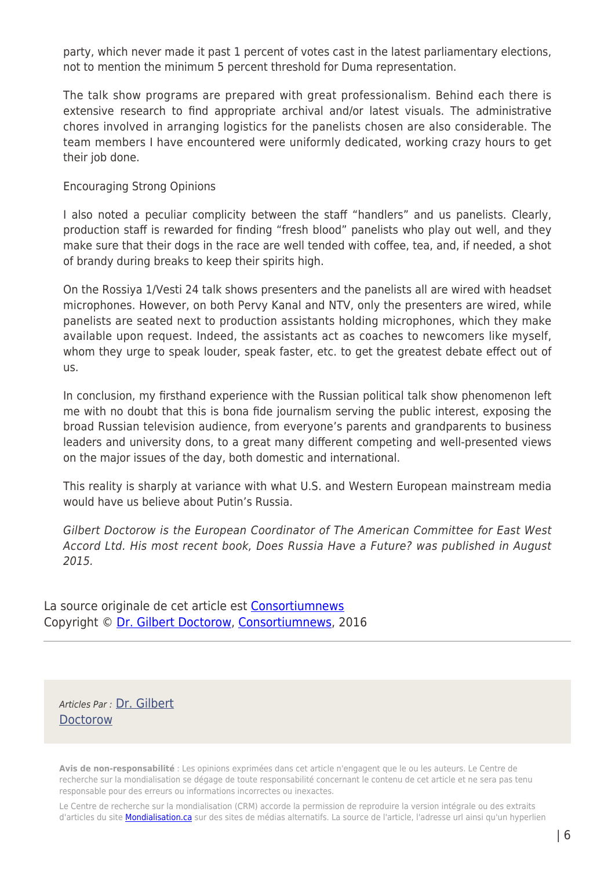party, which never made it past 1 percent of votes cast in the latest parliamentary elections, not to mention the minimum 5 percent threshold for Duma representation.

The talk show programs are prepared with great professionalism. Behind each there is extensive research to find appropriate archival and/or latest visuals. The administrative chores involved in arranging logistics for the panelists chosen are also considerable. The team members I have encountered were uniformly dedicated, working crazy hours to get their job done.

#### Encouraging Strong Opinions

I also noted a peculiar complicity between the staff "handlers" and us panelists. Clearly, production staff is rewarded for finding "fresh blood" panelists who play out well, and they make sure that their dogs in the race are well tended with coffee, tea, and, if needed, a shot of brandy during breaks to keep their spirits high.

On the Rossiya 1/Vesti 24 talk shows presenters and the panelists all are wired with headset microphones. However, on both Pervy Kanal and NTV, only the presenters are wired, while panelists are seated next to production assistants holding microphones, which they make available upon request. Indeed, the assistants act as coaches to newcomers like myself, whom they urge to speak louder, speak faster, etc. to get the greatest debate effect out of us.

In conclusion, my firsthand experience with the Russian political talk show phenomenon left me with no doubt that this is bona fide journalism serving the public interest, exposing the broad Russian television audience, from everyone's parents and grandparents to business leaders and university dons, to a great many different competing and well-presented views on the major issues of the day, both domestic and international.

This reality is sharply at variance with what U.S. and Western European mainstream media would have us believe about Putin's Russia.

Gilbert Doctorow is the European Coordinator of The American Committee for East West Accord Ltd. His most recent book, Does Russia Have a Future? was published in August 2015.

La source originale de cet article est [Consortiumnews](https://consortiumnews.com/2016/11/23/demonizing-russian-media/) Copyright © [Dr. Gilbert Doctorow](https://www.mondialisation.ca/author/gilbert-doctorow), [Consortiumnews](https://consortiumnews.com/2016/11/23/demonizing-russian-media/), 2016

Articles Par : [Dr. Gilbert](https://www.mondialisation.ca/author/gilbert-doctorow) **[Doctorow](https://www.mondialisation.ca/author/gilbert-doctorow)** 

**Avis de non-responsabilité** : Les opinions exprimées dans cet article n'engagent que le ou les auteurs. Le Centre de recherche sur la mondialisation se dégage de toute responsabilité concernant le contenu de cet article et ne sera pas tenu responsable pour des erreurs ou informations incorrectes ou inexactes.

Le Centre de recherche sur la mondialisation (CRM) accorde la permission de reproduire la version intégrale ou des extraits d'articles du site **Mondialisation.ca** sur des sites de médias alternatifs. La source de l'article, l'adresse url ainsi qu'un hyperlien